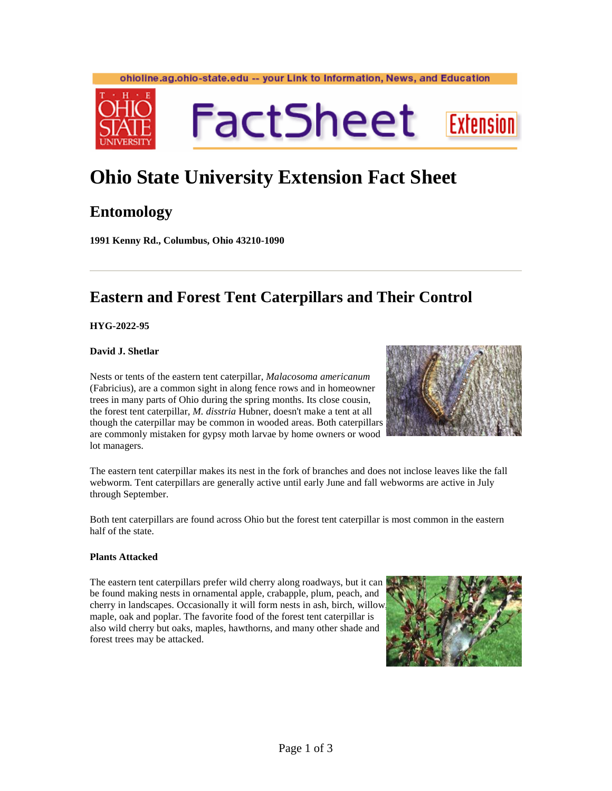#### ohioline.ag.ohio-state.edu -- your Link to Information, News, and Education



# **FactSheet Extension**

## **Ohio State University Extension Fact Sheet**

## **Entomology**

**1991 Kenny Rd., Columbus, Ohio 43210-1090** 

## **Eastern and Forest Tent Caterpillars and Their Control**

**HYG-2022-95** 

### **David J. Shetlar**

Nests or tents of the eastern tent caterpillar, *Malacosoma americanum* (Fabricius), are a common sight in along fence rows and in homeowner trees in many parts of Ohio during the spring months. Its close cousin, the forest tent caterpillar, *M. disstria* Hubner, doesn't make a tent at all though the caterpillar may be common in wooded areas. Both caterpillars are commonly mistaken for gypsy moth larvae by home owners or wood lot managers.



The eastern tent caterpillar makes its nest in the fork of branches and does not inclose leaves like the fall webworm. Tent caterpillars are generally active until early June and fall webworms are active in July through September.

Both tent caterpillars are found across Ohio but the forest tent caterpillar is most common in the eastern half of the state.

#### **Plants Attacked**

The eastern tent caterpillars prefer wild cherry along roadways, but it can be found making nests in ornamental apple, crabapple, plum, peach, and cherry in landscapes. Occasionally it will form nests in ash, birch, willow, maple, oak and poplar. The favorite food of the forest tent caterpillar is also wild cherry but oaks, maples, hawthorns, and many other shade and forest trees may be attacked.

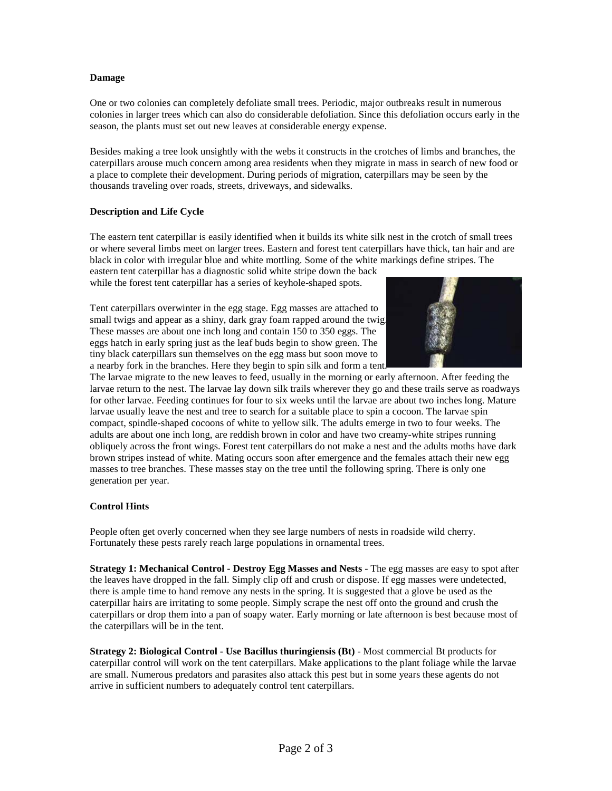#### **Damage**

One or two colonies can completely defoliate small trees. Periodic, major outbreaks result in numerous colonies in larger trees which can also do considerable defoliation. Since this defoliation occurs early in the season, the plants must set out new leaves at considerable energy expense.

Besides making a tree look unsightly with the webs it constructs in the crotches of limbs and branches, the caterpillars arouse much concern among area residents when they migrate in mass in search of new food or a place to complete their development. During periods of migration, caterpillars may be seen by the thousands traveling over roads, streets, driveways, and sidewalks.

#### **Description and Life Cycle**

The eastern tent caterpillar is easily identified when it builds its white silk nest in the crotch of small trees or where several limbs meet on larger trees. Eastern and forest tent caterpillars have thick, tan hair and are black in color with irregular blue and white mottling. Some of the white markings define stripes. The

eastern tent caterpillar has a diagnostic solid white stripe down the back while the forest tent caterpillar has a series of keyhole-shaped spots.

Tent caterpillars overwinter in the egg stage. Egg masses are attached to small twigs and appear as a shiny, dark gray foam rapped around the twig. These masses are about one inch long and contain 150 to 350 eggs. The eggs hatch in early spring just as the leaf buds begin to show green. The tiny black caterpillars sun themselves on the egg mass but soon move to a nearby fork in the branches. Here they begin to spin silk and form a tent.



The larvae migrate to the new leaves to feed, usually in the morning or early afternoon. After feeding the larvae return to the nest. The larvae lay down silk trails wherever they go and these trails serve as roadways for other larvae. Feeding continues for four to six weeks until the larvae are about two inches long. Mature larvae usually leave the nest and tree to search for a suitable place to spin a cocoon. The larvae spin compact, spindle-shaped cocoons of white to yellow silk. The adults emerge in two to four weeks. The adults are about one inch long, are reddish brown in color and have two creamy-white stripes running obliquely across the front wings. Forest tent caterpillars do not make a nest and the adults moths have dark brown stripes instead of white. Mating occurs soon after emergence and the females attach their new egg masses to tree branches. These masses stay on the tree until the following spring. There is only one generation per year.

#### **Control Hints**

People often get overly concerned when they see large numbers of nests in roadside wild cherry. Fortunately these pests rarely reach large populations in ornamental trees.

**Strategy 1: Mechanical Control - Destroy Egg Masses and Nests** - The egg masses are easy to spot after the leaves have dropped in the fall. Simply clip off and crush or dispose. If egg masses were undetected, there is ample time to hand remove any nests in the spring. It is suggested that a glove be used as the caterpillar hairs are irritating to some people. Simply scrape the nest off onto the ground and crush the caterpillars or drop them into a pan of soapy water. Early morning or late afternoon is best because most of the caterpillars will be in the tent.

**Strategy 2: Biological Control - Use Bacillus thuringiensis (Bt)** - Most commercial Bt products for caterpillar control will work on the tent caterpillars. Make applications to the plant foliage while the larvae are small. Numerous predators and parasites also attack this pest but in some years these agents do not arrive in sufficient numbers to adequately control tent caterpillars.